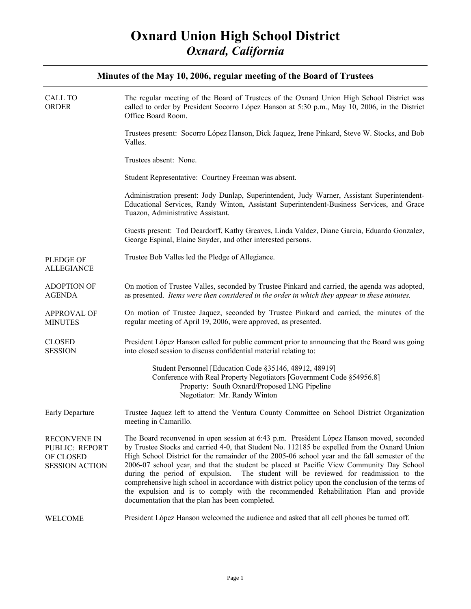| <b>CALL TO</b><br><b>ORDER</b>                                       | The regular meeting of the Board of Trustees of the Oxnard Union High School District was<br>called to order by President Socorro López Hanson at 5:30 p.m., May 10, 2006, in the District<br>Office Board Room.                                                                                                                                                                                                                                                                                                                                                                                                                                                                                                               |
|----------------------------------------------------------------------|--------------------------------------------------------------------------------------------------------------------------------------------------------------------------------------------------------------------------------------------------------------------------------------------------------------------------------------------------------------------------------------------------------------------------------------------------------------------------------------------------------------------------------------------------------------------------------------------------------------------------------------------------------------------------------------------------------------------------------|
|                                                                      | Trustees present: Socorro López Hanson, Dick Jaquez, Irene Pinkard, Steve W. Stocks, and Bob<br>Valles.                                                                                                                                                                                                                                                                                                                                                                                                                                                                                                                                                                                                                        |
|                                                                      | Trustees absent: None.                                                                                                                                                                                                                                                                                                                                                                                                                                                                                                                                                                                                                                                                                                         |
|                                                                      | Student Representative: Courtney Freeman was absent.                                                                                                                                                                                                                                                                                                                                                                                                                                                                                                                                                                                                                                                                           |
|                                                                      | Administration present: Jody Dunlap, Superintendent, Judy Warner, Assistant Superintendent-<br>Educational Services, Randy Winton, Assistant Superintendent-Business Services, and Grace<br>Tuazon, Administrative Assistant.                                                                                                                                                                                                                                                                                                                                                                                                                                                                                                  |
|                                                                      | Guests present: Tod Deardorff, Kathy Greaves, Linda Valdez, Diane Garcia, Eduardo Gonzalez,<br>George Espinal, Elaine Snyder, and other interested persons.                                                                                                                                                                                                                                                                                                                                                                                                                                                                                                                                                                    |
| <b>PLEDGE OF</b><br><b>ALLEGIANCE</b>                                | Trustee Bob Valles led the Pledge of Allegiance.                                                                                                                                                                                                                                                                                                                                                                                                                                                                                                                                                                                                                                                                               |
| <b>ADOPTION OF</b><br><b>AGENDA</b>                                  | On motion of Trustee Valles, seconded by Trustee Pinkard and carried, the agenda was adopted,<br>as presented. Items were then considered in the order in which they appear in these minutes.                                                                                                                                                                                                                                                                                                                                                                                                                                                                                                                                  |
| <b>APPROVAL OF</b><br><b>MINUTES</b>                                 | On motion of Trustee Jaquez, seconded by Trustee Pinkard and carried, the minutes of the<br>regular meeting of April 19, 2006, were approved, as presented.                                                                                                                                                                                                                                                                                                                                                                                                                                                                                                                                                                    |
| <b>CLOSED</b><br><b>SESSION</b>                                      | President López Hanson called for public comment prior to announcing that the Board was going<br>into closed session to discuss confidential material relating to:                                                                                                                                                                                                                                                                                                                                                                                                                                                                                                                                                             |
|                                                                      | Student Personnel [Education Code §35146, 48912, 48919]<br>Conference with Real Property Negotiators [Government Code §54956.8]<br>Property: South Oxnard/Proposed LNG Pipeline<br>Negotiator: Mr. Randy Winton                                                                                                                                                                                                                                                                                                                                                                                                                                                                                                                |
| <b>Early Departure</b>                                               | Trustee Jaquez left to attend the Ventura County Committee on School District Organization<br>meeting in Camarillo.                                                                                                                                                                                                                                                                                                                                                                                                                                                                                                                                                                                                            |
| RECONVENE IN<br>PUBLIC: REPORT<br>OF CLOSED<br><b>SESSION ACTION</b> | The Board reconvened in open session at 6:43 p.m. President López Hanson moved, seconded<br>by Trustee Stocks and carried 4-0, that Student No. 112185 be expelled from the Oxnard Union<br>High School District for the remainder of the 2005-06 school year and the fall semester of the<br>2006-07 school year, and that the student be placed at Pacific View Community Day School<br>during the period of expulsion.<br>The student will be reviewed for readmission to the<br>comprehensive high school in accordance with district policy upon the conclusion of the terms of<br>the expulsion and is to comply with the recommended Rehabilitation Plan and provide<br>documentation that the plan has been completed. |
| <b>WELCOME</b>                                                       | President López Hanson welcomed the audience and asked that all cell phones be turned off.                                                                                                                                                                                                                                                                                                                                                                                                                                                                                                                                                                                                                                     |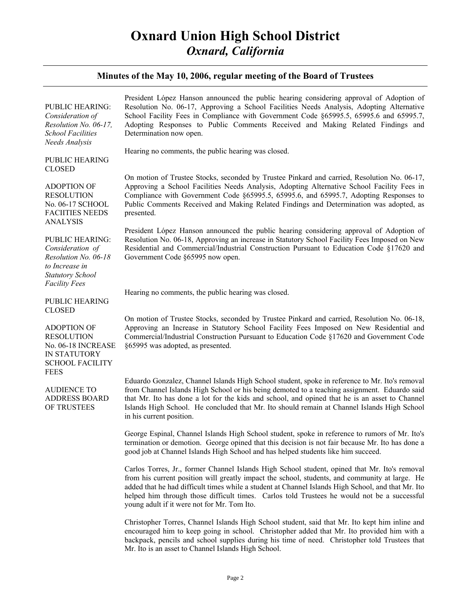### **Minutes of the May 10, 2006, regular meeting of the Board of Trustees**

| <b>PUBLIC HEARING:</b><br>Consideration of<br>Resolution No. 06-17,<br><b>School Facilities</b><br>Needs Analysis                | President López Hanson announced the public hearing considering approval of Adoption of<br>Resolution No. 06-17, Approving a School Facilities Needs Analysis, Adopting Alternative<br>School Facility Fees in Compliance with Government Code §65995.5, 65995.6 and 65995.7,<br>Adopting Responses to Public Comments Received and Making Related Findings and<br>Determination now open.                                                          |
|----------------------------------------------------------------------------------------------------------------------------------|-----------------------------------------------------------------------------------------------------------------------------------------------------------------------------------------------------------------------------------------------------------------------------------------------------------------------------------------------------------------------------------------------------------------------------------------------------|
| PUBLIC HEARING<br><b>CLOSED</b>                                                                                                  | Hearing no comments, the public hearing was closed.                                                                                                                                                                                                                                                                                                                                                                                                 |
| <b>ADOPTION OF</b><br>RESOLUTION<br>No. 06-17 SCHOOL<br><b>FACIITIES NEEDS</b><br>ANALYSIS                                       | On motion of Trustee Stocks, seconded by Trustee Pinkard and carried, Resolution No. 06-17,<br>Approving a School Facilities Needs Analysis, Adopting Alternative School Facility Fees in<br>Compliance with Government Code §65995.5, 65995.6, and 65995.7, Adopting Responses to<br>Public Comments Received and Making Related Findings and Determination was adopted, as<br>presented.                                                          |
| PUBLIC HEARING:<br>Consideration of<br>Resolution No. 06-18<br>to Increase in<br><b>Statutory School</b><br><b>Facility Fees</b> | President López Hanson announced the public hearing considering approval of Adoption of<br>Resolution No. 06-18, Approving an increase in Statutory School Facility Fees Imposed on New<br>Residential and Commercial/Industrial Construction Pursuant to Education Code §17620 and<br>Government Code §65995 now open.                                                                                                                             |
| <b>PUBLIC HEARING</b><br><b>CLOSED</b>                                                                                           | Hearing no comments, the public hearing was closed.                                                                                                                                                                                                                                                                                                                                                                                                 |
| <b>ADOPTION OF</b><br><b>RESOLUTION</b><br>No. 06-18 INCREASE<br><b>IN STATUTORY</b><br><b>SCHOOL FACILITY</b><br><b>FEES</b>    | On motion of Trustee Stocks, seconded by Trustee Pinkard and carried, Resolution No. 06-18,<br>Approving an Increase in Statutory School Facility Fees Imposed on New Residential and<br>Commercial/Industrial Construction Pursuant to Education Code §17620 and Government Code<br>§65995 was adopted, as presented.                                                                                                                              |
| <b>AUDIENCE TO</b><br><b>ADDRESS BOARD</b><br>OF TRUSTEES                                                                        | Eduardo Gonzalez, Channel Islands High School student, spoke in reference to Mr. Ito's removal<br>from Channel Islands High School or his being demoted to a teaching assignment. Eduardo said<br>that Mr. Ito has done a lot for the kids and school, and opined that he is an asset to Channel<br>Islands High School. He concluded that Mr. Ito should remain at Channel Islands High School<br>in his current position.                         |
|                                                                                                                                  | George Espinal, Channel Islands High School student, spoke in reference to rumors of Mr. Ito's<br>termination or demotion. George opined that this decision is not fair because Mr. Ito has done a<br>good job at Channel Islands High School and has helped students like him succeed.                                                                                                                                                             |
|                                                                                                                                  | Carlos Torres, Jr., former Channel Islands High School student, opined that Mr. Ito's removal<br>from his current position will greatly impact the school, students, and community at large. He<br>added that he had difficult times while a student at Channel Islands High School, and that Mr. Ito<br>helped him through those difficult times. Carlos told Trustees he would not be a successful<br>young adult if it were not for Mr. Tom Ito. |
|                                                                                                                                  | Christopher Torres, Channel Islands High School student, said that Mr. Ito kept him inline and<br>encouraged him to keep going in school. Christopher added that Mr. Ito provided him with a<br>backpack, pencils and school supplies during his time of need. Christopher told Trustees that                                                                                                                                                       |

Mr. Ito is an asset to Channel Islands High School.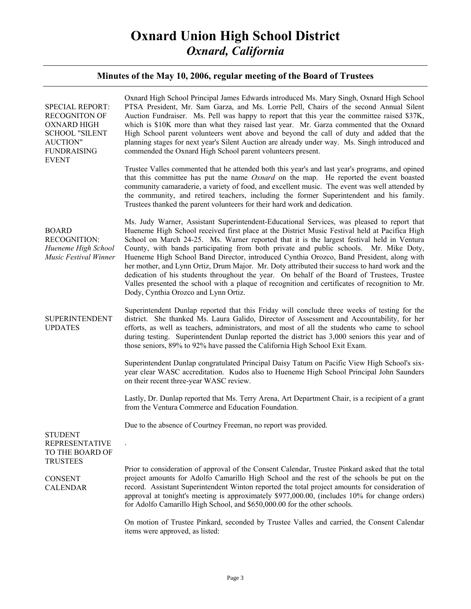| <b>SPECIAL REPORT:</b><br><b>RECOGNITON OF</b><br><b>OXNARD HIGH</b><br><b>SCHOOL "SILENT</b><br><b>AUCTION"</b><br><b>FUNDRAISING</b><br><b>EVENT</b> | Oxnard High School Principal James Edwards introduced Ms. Mary Singh, Oxnard High School<br>PTSA President, Mr. Sam Garza, and Ms. Lorrie Pell, Chairs of the second Annual Silent<br>Auction Fundraiser. Ms. Pell was happy to report that this year the committee raised \$37K,<br>which is \$10K more than what they raised last year. Mr. Garza commented that the Oxnard<br>High School parent volunteers went above and beyond the call of duty and added that the<br>planning stages for next year's Silent Auction are already under way. Ms. Singh introduced and<br>commended the Oxnard High School parent volunteers present.                                                                                                                                                                                  |
|--------------------------------------------------------------------------------------------------------------------------------------------------------|----------------------------------------------------------------------------------------------------------------------------------------------------------------------------------------------------------------------------------------------------------------------------------------------------------------------------------------------------------------------------------------------------------------------------------------------------------------------------------------------------------------------------------------------------------------------------------------------------------------------------------------------------------------------------------------------------------------------------------------------------------------------------------------------------------------------------|
|                                                                                                                                                        | Trustee Valles commented that he attended both this year's and last year's programs, and opined<br>that this committee has put the name <i>Oxnard</i> on the map. He reported the event boasted<br>community camaraderie, a variety of food, and excellent music. The event was well attended by<br>the community, and retired teachers, including the former Superintendent and his family.<br>Trustees thanked the parent volunteers for their hard work and dedication.                                                                                                                                                                                                                                                                                                                                                 |
| <b>BOARD</b><br><b>RECOGNITION:</b><br>Hueneme High School<br>Music Festival Winner                                                                    | Ms. Judy Warner, Assistant Superintendent-Educational Services, was pleased to report that<br>Hueneme High School received first place at the District Music Festival held at Pacifica High<br>School on March 24-25. Ms. Warner reported that it is the largest festival held in Ventura<br>County, with bands participating from both private and public schools. Mr. Mike Doty,<br>Hueneme High School Band Director, introduced Cynthia Orozco, Band President, along with<br>her mother, and Lynn Ortiz, Drum Major. Mr. Doty attributed their success to hard work and the<br>dedication of his students throughout the year. On behalf of the Board of Trustees, Trustee<br>Valles presented the school with a plaque of recognition and certificates of recognition to Mr.<br>Dody, Cynthia Orozco and Lynn Ortiz. |
| SUPERINTENDENT<br><b>UPDATES</b>                                                                                                                       | Superintendent Dunlap reported that this Friday will conclude three weeks of testing for the<br>district. She thanked Ms. Laura Galido, Director of Assessment and Accountability, for her<br>efforts, as well as teachers, administrators, and most of all the students who came to school<br>during testing. Superintendent Dunlap reported the district has 3,000 seniors this year and of<br>those seniors, 89% to 92% have passed the California High School Exit Exam.                                                                                                                                                                                                                                                                                                                                               |
|                                                                                                                                                        | Superintendent Dunlap congratulated Principal Daisy Tatum on Pacific View High School's six-<br>year clear WASC accreditation. Kudos also to Hueneme High School Principal John Saunders<br>on their recent three-year WASC review.                                                                                                                                                                                                                                                                                                                                                                                                                                                                                                                                                                                        |
|                                                                                                                                                        | Lastly, Dr. Dunlap reported that Ms. Terry Arena, Art Department Chair, is a recipient of a grant<br>from the Ventura Commerce and Education Foundation.                                                                                                                                                                                                                                                                                                                                                                                                                                                                                                                                                                                                                                                                   |
| <b>STUDENT</b>                                                                                                                                         | Due to the absence of Courtney Freeman, no report was provided.                                                                                                                                                                                                                                                                                                                                                                                                                                                                                                                                                                                                                                                                                                                                                            |
| <b>REPRESENTATIVE</b><br>TO THE BOARD OF<br><b>TRUSTEES</b>                                                                                            |                                                                                                                                                                                                                                                                                                                                                                                                                                                                                                                                                                                                                                                                                                                                                                                                                            |
| <b>CONSENT</b><br><b>CALENDAR</b>                                                                                                                      | Prior to consideration of approval of the Consent Calendar, Trustee Pinkard asked that the total<br>project amounts for Adolfo Camarillo High School and the rest of the schools be put on the<br>record. Assistant Superintendent Winton reported the total project amounts for consideration of<br>approval at tonight's meeting is approximately \$977,000.00, (includes 10% for change orders)<br>for Adolfo Camarillo High School, and \$650,000.00 for the other schools.                                                                                                                                                                                                                                                                                                                                            |
|                                                                                                                                                        | On motion of Trustee Pinkard, seconded by Trustee Valles and carried, the Consent Calendar<br>items were approved, as listed:                                                                                                                                                                                                                                                                                                                                                                                                                                                                                                                                                                                                                                                                                              |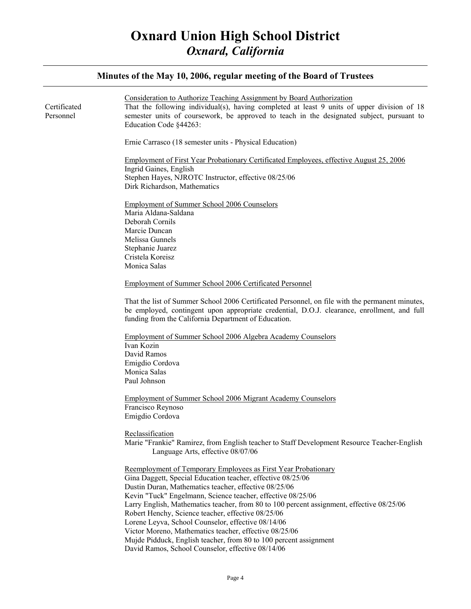### Certificated Personnel Consideration to Authorize Teaching Assignment by Board Authorization That the following individual(s), having completed at least 9 units of upper division of 18 semester units of coursework, be approved to teach in the designated subject, pursuant to Education Code §44263: Ernie Carrasco (18 semester units - Physical Education) Employment of First Year Probationary Certificated Employees, effective August 25, 2006 Ingrid Gaines, English Stephen Hayes, NJROTC Instructor, effective 08/25/06 Dirk Richardson, Mathematics Employment of Summer School 2006 Counselors Maria Aldana-Saldana Deborah Cornils Marcie Duncan Melissa Gunnels Stephanie Juarez Cristela Koreisz Monica Salas Employment of Summer School 2006 Certificated Personnel That the list of Summer School 2006 Certificated Personnel, on file with the permanent minutes, be employed, contingent upon appropriate credential, D.O.J. clearance, enrollment, and full funding from the California Department of Education. Employment of Summer School 2006 Algebra Academy Counselors Ivan Kozin David Ramos Emigdio Cordova Monica Salas Paul Johnson Employment of Summer School 2006 Migrant Academy Counselors Francisco Reynoso Emigdio Cordova Reclassification Marie "Frankie" Ramirez, from English teacher to Staff Development Resource Teacher-English Language Arts, effective 08/07/06 Reemployment of Temporary Employees as First Year Probationary Gina Daggett, Special Education teacher, effective 08/25/06 Dustin Duran, Mathematics teacher, effective 08/25/06 Kevin "Tuck" Engelmann, Science teacher, effective 08/25/06 Larry English, Mathematics teacher, from 80 to 100 percent assignment, effective 08/25/06 Robert Henchy, Science teacher, effective 08/25/06 Lorene Leyva, School Counselor, effective 08/14/06 Victor Moreno, Mathematics teacher, effective 08/25/06 Mujde Pidduck, English teacher, from 80 to 100 percent assignment David Ramos, School Counselor, effective 08/14/06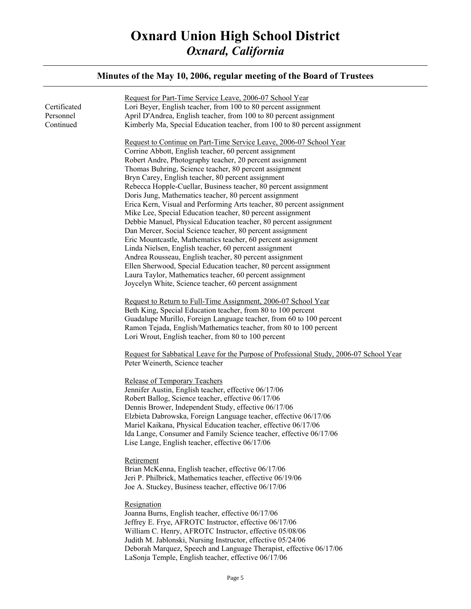| Certificated<br>Personnel<br>Continued | Request for Part-Time Service Leave, 2006-07 School Year<br>Lori Beyer, English teacher, from 100 to 80 percent assignment<br>April D'Andrea, English teacher, from 100 to 80 percent assignment<br>Kimberly Ma, Special Education teacher, from 100 to 80 percent assignment                                                                                                                                                                                                                                                                                                                                                                                                                                                                                                                                                                                                                                                                                          |
|----------------------------------------|------------------------------------------------------------------------------------------------------------------------------------------------------------------------------------------------------------------------------------------------------------------------------------------------------------------------------------------------------------------------------------------------------------------------------------------------------------------------------------------------------------------------------------------------------------------------------------------------------------------------------------------------------------------------------------------------------------------------------------------------------------------------------------------------------------------------------------------------------------------------------------------------------------------------------------------------------------------------|
|                                        | Request to Continue on Part-Time Service Leave, 2006-07 School Year<br>Corrine Abbott, English teacher, 60 percent assignment<br>Robert Andre, Photography teacher, 20 percent assignment<br>Thomas Buhring, Science teacher, 80 percent assignment<br>Bryn Carey, English teacher, 80 percent assignment<br>Rebecca Hopple-Cuellar, Business teacher, 80 percent assignment<br>Doris Jung, Mathematics teacher, 80 percent assignment<br>Erica Kern, Visual and Performing Arts teacher, 80 percent assignment<br>Mike Lee, Special Education teacher, 80 percent assignment<br>Debbie Manuel, Physical Education teacher, 80 percent assignment<br>Dan Mercer, Social Science teacher, 80 percent assignment<br>Eric Mountcastle, Mathematics teacher, 60 percent assignment<br>Linda Nielsen, English teacher, 60 percent assignment<br>Andrea Rousseau, English teacher, 80 percent assignment<br>Ellen Sherwood, Special Education teacher, 80 percent assignment |
|                                        | Laura Taylor, Mathematics teacher, 60 percent assignment<br>Joycelyn White, Science teacher, 60 percent assignment<br>Request to Return to Full-Time Assignment, 2006-07 School Year                                                                                                                                                                                                                                                                                                                                                                                                                                                                                                                                                                                                                                                                                                                                                                                   |
|                                        | Beth King, Special Education teacher, from 80 to 100 percent<br>Guadalupe Murillo, Foreign Language teacher, from 60 to 100 percent<br>Ramon Tejada, English/Mathematics teacher, from 80 to 100 percent<br>Lori Wrout, English teacher, from 80 to 100 percent                                                                                                                                                                                                                                                                                                                                                                                                                                                                                                                                                                                                                                                                                                        |
|                                        | Request for Sabbatical Leave for the Purpose of Professional Study, 2006-07 School Year<br>Peter Weinerth, Science teacher                                                                                                                                                                                                                                                                                                                                                                                                                                                                                                                                                                                                                                                                                                                                                                                                                                             |
|                                        | Release of Temporary Teachers<br>Jennifer Austin, English teacher, effective 06/17/06<br>Robert Ballog, Science teacher, effective 06/17/06<br>Dennis Brower, Independent Study, effective 06/17/06<br>Elzbieta Dabrowska, Foreign Language teacher, effective 06/17/06<br>Mariel Kaikana, Physical Education teacher, effective 06/17/06<br>Ida Lange, Consumer and Family Science teacher, effective 06/17/06<br>Lise Lange, English teacher, effective 06/17/06                                                                                                                                                                                                                                                                                                                                                                                                                                                                                                     |
|                                        | Retirement<br>Brian McKenna, English teacher, effective 06/17/06<br>Jeri P. Philbrick, Mathematics teacher, effective 06/19/06<br>Joe A. Stuckey, Business teacher, effective 06/17/06                                                                                                                                                                                                                                                                                                                                                                                                                                                                                                                                                                                                                                                                                                                                                                                 |
|                                        | Resignation<br>Joanna Burns, English teacher, effective 06/17/06<br>Jeffrey E. Frye, AFROTC Instructor, effective 06/17/06<br>William C. Henry, AFROTC Instructor, effective 05/08/06<br>Judith M. Jablonski, Nursing Instructor, effective 05/24/06<br>Deborah Marquez, Speech and Language Therapist, effective 06/17/06<br>LaSonja Temple, English teacher, effective 06/17/06                                                                                                                                                                                                                                                                                                                                                                                                                                                                                                                                                                                      |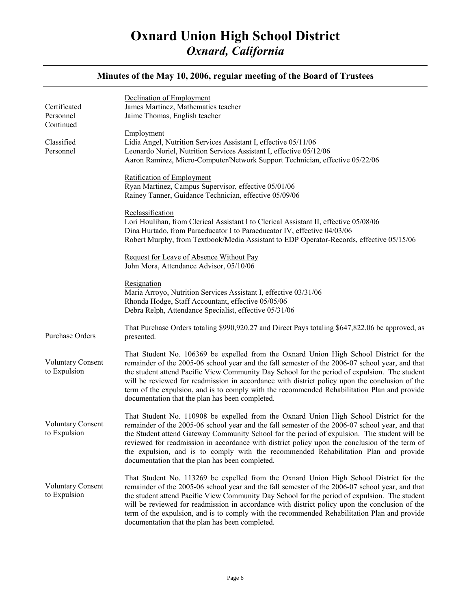#### Certificated Personnel Continued Classified Personnel Purchase Orders Voluntary Consent to Expulsion Voluntary Consent to Expulsion Voluntary Consent to Expulsion Declination of Employment James Martinez, Mathematics teacher Jaime Thomas, English teacher Employment Lidia Angel, Nutrition Services Assistant I, effective 05/11/06 Leonardo Noriel, Nutrition Services Assistant I, effective 05/12/06 Aaron Ramirez, Micro-Computer/Network Support Technician, effective 05/22/06 Ratification of Employment Ryan Martinez, Campus Supervisor, effective 05/01/06 Rainey Tanner, Guidance Technician, effective 05/09/06 Reclassification Lori Houlihan, from Clerical Assistant I to Clerical Assistant II, effective 05/08/06 Dina Hurtado, from Paraeducator I to Paraeducator IV, effective 04/03/06 Robert Murphy, from Textbook/Media Assistant to EDP Operator-Records, effective 05/15/06 Request for Leave of Absence Without Pay John Mora, Attendance Advisor, 05/10/06 **Resignation** Maria Arroyo, Nutrition Services Assistant I, effective 03/31/06 Rhonda Hodge, Staff Accountant, effective 05/05/06 Debra Relph, Attendance Specialist, effective 05/31/06 That Purchase Orders totaling \$990,920.27 and Direct Pays totaling \$647,822.06 be approved, as presented. That Student No. 106369 be expelled from the Oxnard Union High School District for the remainder of the 2005-06 school year and the fall semester of the 2006-07 school year, and that the student attend Pacific View Community Day School for the period of expulsion. The student will be reviewed for readmission in accordance with district policy upon the conclusion of the term of the expulsion, and is to comply with the recommended Rehabilitation Plan and provide documentation that the plan has been completed. That Student No. 110908 be expelled from the Oxnard Union High School District for the remainder of the 2005-06 school year and the fall semester of the 2006-07 school year, and that the Student attend Gateway Community School for the period of expulsion. The student will be reviewed for readmission in accordance with district policy upon the conclusion of the term of the expulsion, and is to comply with the recommended Rehabilitation Plan and provide documentation that the plan has been completed. That Student No. 113269 be expelled from the Oxnard Union High School District for the remainder of the 2005-06 school year and the fall semester of the 2006-07 school year, and that the student attend Pacific View Community Day School for the period of expulsion. The student will be reviewed for readmission in accordance with district policy upon the conclusion of the term of the expulsion, and is to comply with the recommended Rehabilitation Plan and provide documentation that the plan has been completed.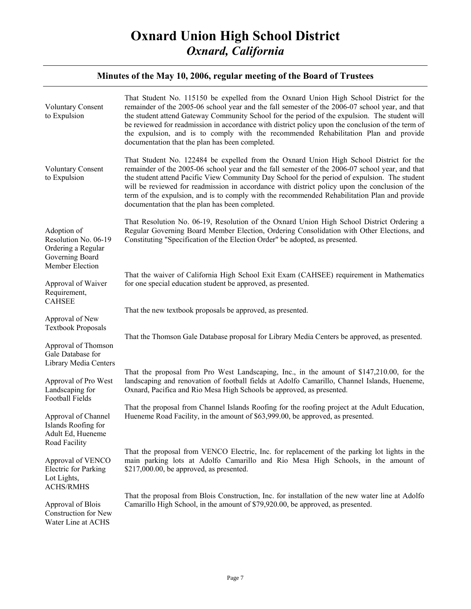| <b>Voluntary Consent</b><br>to Expulsion                                                        | That Student No. 115150 be expelled from the Oxnard Union High School District for the<br>remainder of the 2005-06 school year and the fall semester of the 2006-07 school year, and that<br>the student attend Gateway Community School for the period of the expulsion. The student will<br>be reviewed for readmission in accordance with district policy upon the conclusion of the term of<br>the expulsion, and is to comply with the recommended Rehabilitation Plan and provide<br>documentation that the plan has been completed.      |
|-------------------------------------------------------------------------------------------------|-------------------------------------------------------------------------------------------------------------------------------------------------------------------------------------------------------------------------------------------------------------------------------------------------------------------------------------------------------------------------------------------------------------------------------------------------------------------------------------------------------------------------------------------------|
| <b>Voluntary Consent</b><br>to Expulsion                                                        | That Student No. 122484 be expelled from the Oxnard Union High School District for the<br>remainder of the 2005-06 school year and the fall semester of the 2006-07 school year, and that<br>the student attend Pacific View Community Day School for the period of expulsion. The student<br>will be reviewed for readmission in accordance with district policy upon the conclusion of the<br>term of the expulsion, and is to comply with the recommended Rehabilitation Plan and provide<br>documentation that the plan has been completed. |
| Adoption of<br>Resolution No. 06-19<br>Ordering a Regular<br>Governing Board<br>Member Election | That Resolution No. 06-19, Resolution of the Oxnard Union High School District Ordering a<br>Regular Governing Board Member Election, Ordering Consolidation with Other Elections, and<br>Constituting "Specification of the Election Order" be adopted, as presented.                                                                                                                                                                                                                                                                          |
| Approval of Waiver<br>Requirement,<br><b>CAHSEE</b>                                             | That the waiver of California High School Exit Exam (CAHSEE) requirement in Mathematics<br>for one special education student be approved, as presented.                                                                                                                                                                                                                                                                                                                                                                                         |
| Approval of New                                                                                 | That the new textbook proposals be approved, as presented.                                                                                                                                                                                                                                                                                                                                                                                                                                                                                      |
| <b>Textbook Proposals</b>                                                                       | That the Thomson Gale Database proposal for Library Media Centers be approved, as presented.                                                                                                                                                                                                                                                                                                                                                                                                                                                    |
| Approval of Thomson<br>Gale Database for<br>Library Media Centers                               |                                                                                                                                                                                                                                                                                                                                                                                                                                                                                                                                                 |
| Approval of Pro West<br>Landscaping for<br>Football Fields                                      | That the proposal from Pro West Landscaping, Inc., in the amount of \$147,210.00, for the<br>landscaping and renovation of football fields at Adolfo Camarillo, Channel Islands, Hueneme,<br>Oxnard, Pacifica and Rio Mesa High Schools be approved, as presented.                                                                                                                                                                                                                                                                              |
| Approval of Channel<br>Islands Roofing for<br>Adult Ed, Hueneme<br>Road Facility                | That the proposal from Channel Islands Roofing for the roofing project at the Adult Education,<br>Hueneme Road Facility, in the amount of \$63,999.00, be approved, as presented.                                                                                                                                                                                                                                                                                                                                                               |
| Approval of VENCO<br>Electric for Parking<br>Lot Lights,<br><b>ACHS/RMHS</b>                    | That the proposal from VENCO Electric, Inc. for replacement of the parking lot lights in the<br>main parking lots at Adolfo Camarillo and Rio Mesa High Schools, in the amount of<br>\$217,000.00, be approved, as presented.                                                                                                                                                                                                                                                                                                                   |
| Approval of Blois<br>Construction for New<br>Water Line at ACHS                                 | That the proposal from Blois Construction, Inc. for installation of the new water line at Adolfo<br>Camarillo High School, in the amount of \$79,920.00, be approved, as presented.                                                                                                                                                                                                                                                                                                                                                             |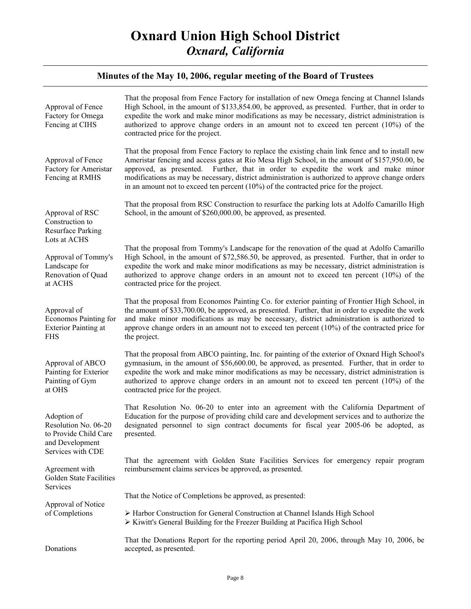| Approval of Fence<br>Factory for Omega<br>Fencing at CIHS                         | That the proposal from Fence Factory for installation of new Omega fencing at Channel Islands<br>High School, in the amount of \$133,854.00, be approved, as presented. Further, that in order to<br>expedite the work and make minor modifications as may be necessary, district administration is<br>authorized to approve change orders in an amount not to exceed ten percent (10%) of the<br>contracted price for the project.                                                         |
|-----------------------------------------------------------------------------------|---------------------------------------------------------------------------------------------------------------------------------------------------------------------------------------------------------------------------------------------------------------------------------------------------------------------------------------------------------------------------------------------------------------------------------------------------------------------------------------------|
| Approval of Fence<br>Factory for Ameristar<br>Fencing at RMHS                     | That the proposal from Fence Factory to replace the existing chain link fence and to install new<br>Ameristar fencing and access gates at Rio Mesa High School, in the amount of \$157,950.00, be<br>Further, that in order to expedite the work and make minor<br>approved, as presented.<br>modifications as may be necessary, district administration is authorized to approve change orders<br>in an amount not to exceed ten percent $(10\%)$ of the contracted price for the project. |
| Approval of RSC<br>Construction to<br><b>Resurface Parking</b><br>Lots at ACHS    | That the proposal from RSC Construction to resurface the parking lots at Adolfo Camarillo High<br>School, in the amount of \$260,000.00, be approved, as presented.                                                                                                                                                                                                                                                                                                                         |
| Approval of Tommy's<br>Landscape for<br>Renovation of Quad<br>at ACHS             | That the proposal from Tommy's Landscape for the renovation of the quad at Adolfo Camarillo<br>High School, in the amount of \$72,586.50, be approved, as presented. Further, that in order to<br>expedite the work and make minor modifications as may be necessary, district administration is<br>authorized to approve change orders in an amount not to exceed ten percent $(10\%)$ of the<br>contracted price for the project.                                                         |
| Approval of<br>Economos Painting for<br><b>Exterior Painting at</b><br><b>FHS</b> | That the proposal from Economos Painting Co. for exterior painting of Frontier High School, in<br>the amount of \$33,700.00, be approved, as presented. Further, that in order to expedite the work<br>and make minor modifications as may be necessary, district administration is authorized to<br>approve change orders in an amount not to exceed ten percent $(10\%)$ of the contracted price for<br>the project.                                                                      |
| Approval of ABCO<br>Painting for Exterior<br>Painting of Gym<br>at OHS            | That the proposal from ABCO painting, Inc. for painting of the exterior of Oxnard High School's<br>gymnasium, in the amount of \$56,600.00, be approved, as presented. Further, that in order to<br>expedite the work and make minor modifications as may be necessary, district administration is<br>authorized to approve change orders in an amount not to exceed ten percent $(10\%)$ of the<br>contracted price for the project.                                                       |
| Adoption of<br>Resolution No. 06-20<br>to Provide Child Care<br>and Development   | That Resolution No. 06-20 to enter into an agreement with the California Department of<br>Education for the purpose of providing child care and development services and to authorize the<br>designated personnel to sign contract documents for fiscal year 2005-06 be adopted, as<br>presented.                                                                                                                                                                                           |
| Services with CDE<br>Agreement with<br>Golden State Facilities<br>Services        | That the agreement with Golden State Facilities Services for emergency repair program<br>reimbursement claims services be approved, as presented.                                                                                                                                                                                                                                                                                                                                           |
|                                                                                   | That the Notice of Completions be approved, as presented:                                                                                                                                                                                                                                                                                                                                                                                                                                   |
| Approval of Notice<br>of Completions                                              | > Harbor Construction for General Construction at Channel Islands High School<br>> Kiwitt's General Building for the Freezer Building at Pacifica High School                                                                                                                                                                                                                                                                                                                               |
| Donations                                                                         | That the Donations Report for the reporting period April 20, 2006, through May 10, 2006, be<br>accepted, as presented.                                                                                                                                                                                                                                                                                                                                                                      |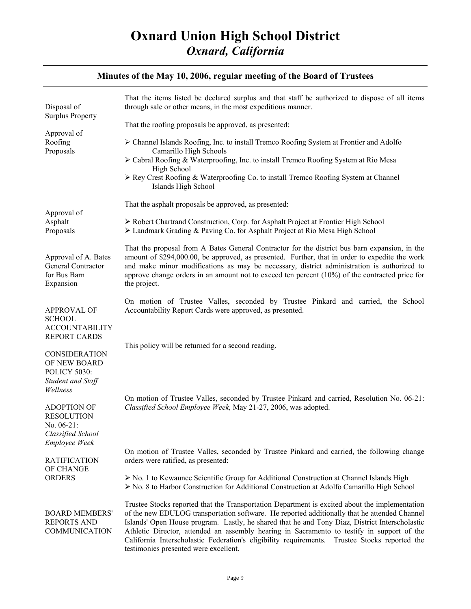| Disposal of<br><b>Surplus Property</b><br>Approval of<br>Roofing<br>Proposals                | That the items listed be declared surplus and that staff be authorized to dispose of all items<br>through sale or other means, in the most expeditious manner.                                                                                                                                                                                                                                                                                                                                                                           |
|----------------------------------------------------------------------------------------------|------------------------------------------------------------------------------------------------------------------------------------------------------------------------------------------------------------------------------------------------------------------------------------------------------------------------------------------------------------------------------------------------------------------------------------------------------------------------------------------------------------------------------------------|
|                                                                                              | That the roofing proposals be approved, as presented:                                                                                                                                                                                                                                                                                                                                                                                                                                                                                    |
|                                                                                              | > Channel Islands Roofing, Inc. to install Tremco Roofing System at Frontier and Adolfo<br>Camarillo High Schools                                                                                                                                                                                                                                                                                                                                                                                                                        |
|                                                                                              | > Cabral Roofing & Waterproofing, Inc. to install Tremco Roofing System at Rio Mesa<br>High School                                                                                                                                                                                                                                                                                                                                                                                                                                       |
|                                                                                              | $\triangleright$ Rey Crest Roofing & Waterproofing Co. to install Tremco Roofing System at Channel<br>Islands High School                                                                                                                                                                                                                                                                                                                                                                                                                |
|                                                                                              | That the asphalt proposals be approved, as presented:                                                                                                                                                                                                                                                                                                                                                                                                                                                                                    |
| Approval of<br>Asphalt<br>Proposals                                                          | > Robert Chartrand Construction, Corp. for Asphalt Project at Frontier High School<br>> Landmark Grading & Paving Co. for Asphalt Project at Rio Mesa High School                                                                                                                                                                                                                                                                                                                                                                        |
| Approval of A. Bates<br>General Contractor<br>for Bus Barn<br>Expansion                      | That the proposal from A Bates General Contractor for the district bus barn expansion, in the<br>amount of \$294,000.00, be approved, as presented. Further, that in order to expedite the work<br>and make minor modifications as may be necessary, district administration is authorized to<br>approve change orders in an amount not to exceed ten percent $(10\%)$ of the contracted price for<br>the project.                                                                                                                       |
| <b>APPROVAL OF</b><br><b>SCHOOL</b>                                                          | On motion of Trustee Valles, seconded by Trustee Pinkard and carried, the School<br>Accountability Report Cards were approved, as presented.                                                                                                                                                                                                                                                                                                                                                                                             |
| <b>ACCOUNTABILITY</b><br><b>REPORT CARDS</b>                                                 | This policy will be returned for a second reading.                                                                                                                                                                                                                                                                                                                                                                                                                                                                                       |
| <b>CONSIDERATION</b><br>OF NEW BOARD<br><b>POLICY 5030:</b><br>Student and Staff<br>Wellness |                                                                                                                                                                                                                                                                                                                                                                                                                                                                                                                                          |
| <b>ADOPTION OF</b><br><b>RESOLUTION</b><br>No. $06-21$ :<br>Classified School                | On motion of Trustee Valles, seconded by Trustee Pinkard and carried, Resolution No. 06-21:<br>Classified School Employee Week, May 21-27, 2006, was adopted.                                                                                                                                                                                                                                                                                                                                                                            |
| <b>Employee Week</b><br><b>RATIFICATION</b>                                                  | On motion of Trustee Valles, seconded by Trustee Pinkard and carried, the following change<br>orders were ratified, as presented:                                                                                                                                                                                                                                                                                                                                                                                                        |
| OF CHANGE<br><b>ORDERS</b>                                                                   | $\triangleright$ No. 1 to Kewaunee Scientific Group for Additional Construction at Channel Islands High<br>$\triangleright$ No. 8 to Harbor Construction for Additional Construction at Adolfo Camarillo High School                                                                                                                                                                                                                                                                                                                     |
| <b>BOARD MEMBERS'</b><br><b>REPORTS AND</b><br>COMMUNICATION                                 | Trustee Stocks reported that the Transportation Department is excited about the implementation<br>of the new EDULOG transportation software. He reported additionally that he attended Channel<br>Islands' Open House program. Lastly, he shared that he and Tony Diaz, District Interscholastic<br>Athletic Director, attended an assembly hearing in Sacramento to testify in support of the<br>California Interscholastic Federation's eligibility requirements. Trustee Stocks reported the<br>testimonies presented were excellent. |